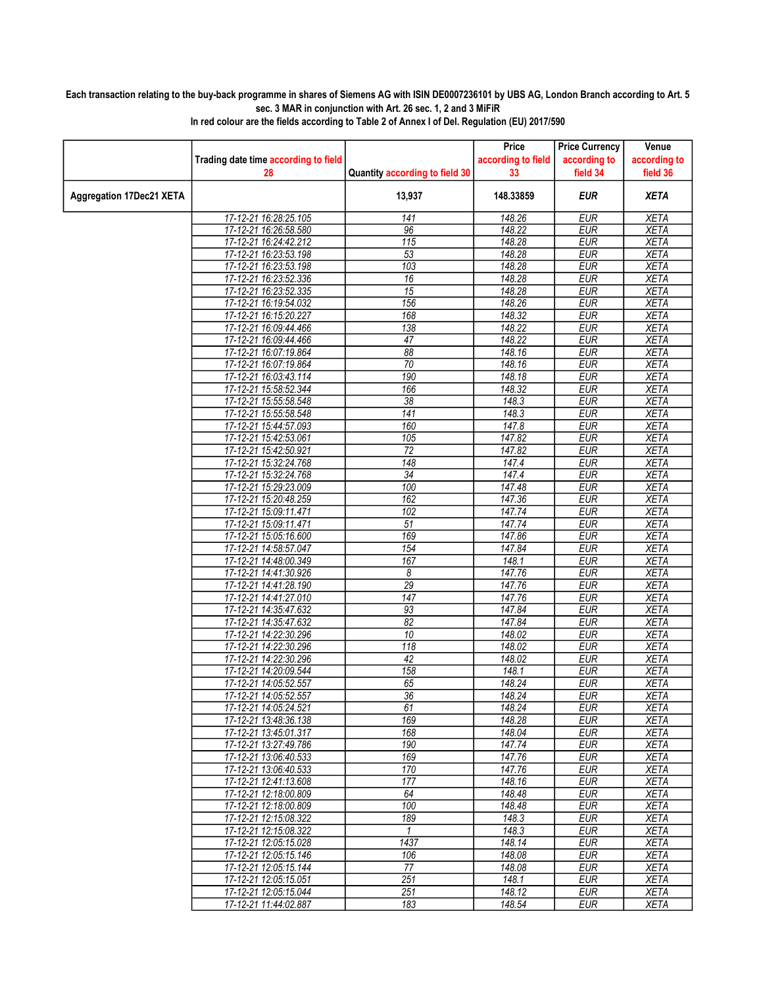## Each transaction relating to the buy-back programme in shares of Siemens AG with ISIN DE0007236101 by UBS AG, London Branch according to Art. 5 sec. 3 MAR in conjunction with Art. 26 sec. 1, 2 and 3 MiFiR

|                                 |                                                |                                | Price                    | <b>Price Currency</b><br>according to | Venue<br>according to      |
|---------------------------------|------------------------------------------------|--------------------------------|--------------------------|---------------------------------------|----------------------------|
|                                 | Trading date time according to field<br>28     | Quantity according to field 30 | according to field<br>33 | field 34                              | field 36                   |
|                                 |                                                |                                |                          |                                       |                            |
| <b>Aggregation 17Dec21 XETA</b> |                                                | 13,937                         | 148.33859                | EUR                                   | <b>XETA</b>                |
|                                 | 17-12-21 16:28:25.105                          | 141                            | 148.26                   | <b>EUR</b>                            | <b>XETA</b>                |
|                                 | 17-12-21 16:26:58.580                          | 96                             | 148.22                   | <b>EUR</b>                            | <b>XETA</b>                |
|                                 | 17-12-21 16:24:42.212                          | 115                            | 148.28                   | <b>EUR</b>                            | <b>XETA</b>                |
|                                 | 17-12-21 16:23:53.198                          | 53                             | 148.28                   | <b>EUR</b>                            | <b>XETA</b>                |
|                                 | 17-12-21 16:23:53.198                          | 103                            | 148.28                   | EUR                                   | <b>XETA</b>                |
|                                 | 17-12-21 16:23:52.336                          | 16                             | 148.28                   | EUR                                   | <b>XETA</b>                |
|                                 | 17-12-21 16:23:52.335                          | 15<br>156                      | 148.28                   | <b>EUR</b><br><b>EUR</b>              | <b>XETA</b>                |
|                                 | 17-12-21 16:19:54.032<br>17-12-21 16:15:20.227 |                                | 148.26                   | <b>EUR</b>                            | <b>XETA</b>                |
|                                 | 17-12-21 16:09:44.466                          | 168<br>138                     | 148.32<br>148.22         | <b>EUR</b>                            | <b>XETA</b><br><b>XETA</b> |
|                                 | 17-12-21 16:09:44.466                          | 47                             | 148.22                   | <b>EUR</b>                            | <b>XETA</b>                |
|                                 | 17-12-21 16:07:19.864                          | 88                             | 148.16                   | <b>EUR</b>                            | <b>XETA</b>                |
|                                 | 17-12-21 16:07:19.864                          | 70                             | 148.16                   | <b>EUR</b>                            | <b>XETA</b>                |
|                                 | 17-12-21 16:03:43.114                          | 190                            | 148.18                   | <b>EUR</b>                            | <b>XETA</b>                |
|                                 | 17-12-21 15:58:52.344                          | 166                            | 148.32                   | <b>EUR</b>                            | <b>XETA</b>                |
|                                 | 17-12-21 15:55:58.548                          | 38                             | 148.3                    | <b>EUR</b>                            | <b>XETA</b>                |
|                                 | 17-12-21 15:55:58.548                          | 141                            | 148.3                    | <b>EUR</b>                            | <b>XETA</b>                |
|                                 | 17-12-21 15:44:57.093                          | 160                            | 147.8                    | <b>EUR</b>                            | <b>XETA</b>                |
|                                 | 17-12-21 15:42:53.061                          | 105                            | 147.82                   | <b>EUR</b>                            | <b>XETA</b>                |
|                                 | 17-12-21 15:42:50.921                          | $\overline{72}$                | 147.82                   | <b>EUR</b>                            | <b>XETA</b>                |
|                                 | 17-12-21 15:32:24.768                          | 148                            | 147.4                    | <b>EUR</b>                            | <b>XETA</b>                |
|                                 | 17-12-21 15:32:24.768                          | $\overline{34}$                | 147.4                    | <b>EUR</b>                            | <b>XETA</b>                |
|                                 | 17-12-21 15:29:23.009                          | 100                            | 147.48                   | <b>EUR</b>                            | <b>XETA</b>                |
|                                 | 17-12-21 15:20:48.259                          | 162                            | 147.36                   | <b>EUR</b>                            | <b>XETA</b>                |
|                                 | 17-12-21 15:09:11.471                          | 102                            | 147.74                   | <b>EUR</b>                            | <b>XETA</b>                |
|                                 | 17-12-21 15:09:11.471                          | $\overline{51}$                | 147.74                   | <b>EUR</b>                            | <b>XETA</b>                |
|                                 | 17-12-21 15:05:16.600                          | 169                            | 147.86                   | <b>EUR</b>                            | <b>XETA</b>                |
|                                 | 17-12-21 14:58:57.047                          | 154                            | 147.84                   | <b>EUR</b>                            | <b>XETA</b>                |
|                                 | 17-12-21 14:48:00.349                          | 167                            | 148.1                    | <b>EUR</b>                            | <b>XETA</b>                |
|                                 | 17-12-21 14:41:30.926                          | 8                              | 147.76                   | <b>EUR</b>                            | <b>XETA</b>                |
|                                 | 17-12-21 14:41:28.190                          | $\overline{29}$                | 147.76                   | EUR                                   | <b>XETA</b>                |
|                                 | 17-12-21 14:41:27.010                          | 147                            | 147.76                   | <b>EUR</b>                            | <b>XETA</b>                |
|                                 | 17-12-21 14:35:47.632                          | 93                             | 147.84                   | <b>EUR</b>                            | <b>XETA</b>                |
|                                 | 17-12-21 14:35:47.632                          | 82                             | 147.84                   | <b>EUR</b>                            | <b>XETA</b>                |
|                                 | 17-12-21 14:22:30.296                          | 10                             | 148.02                   | <b>EUR</b>                            | <b>XETA</b>                |
|                                 | 17-12-21 14:22:30.296                          | 118<br>42                      | 148.02                   | <b>EUR</b>                            | <b>XETA</b>                |
|                                 | 17-12-21 14:22:30.296<br>17-12-21 14:20:09.544 | 158                            | 148.02<br>148.1          | <b>EUR</b><br><b>EUR</b>              | <b>XETA</b><br><b>XETA</b> |
|                                 | 17-12-21 14:05:52.557                          | 65                             | 148.24                   | <b>EUR</b>                            | <b>XETA</b>                |
|                                 | 17-12-21 14:05:52.557                          | $\overline{36}$                | 148.24                   | <b>EUR</b>                            | <b>XETA</b>                |
|                                 | 17-12-21 14:05:24.521                          | 61                             | 148.24                   | EUR                                   | XETA                       |
|                                 | 17-12-21 13:48:36.138                          | 169                            | 148.28                   | <b>EUR</b>                            | <b>XETA</b>                |
|                                 | 17-12-21 13:45:01.317                          | 168                            | 148.04                   | <b>EUR</b>                            | <b>XETA</b>                |
|                                 | 17-12-21 13:27:49.786                          | 190                            | 147.74                   | <b>EUR</b>                            | <b>XETA</b>                |
|                                 | 17-12-21 13:06:40.533                          | 169                            | 147.76                   | <b>EUR</b>                            | <b>XETA</b>                |
|                                 | 17-12-21 13:06:40.533                          | 170                            | 147.76                   | <b>EUR</b>                            | <b>XETA</b>                |
|                                 | 17-12-21 12:41:13.608                          | 177                            | 148.16                   | EUR                                   | <b>XETA</b>                |
|                                 | 17-12-21 12:18:00.809                          | 64                             | 148.48                   | <b>EUR</b>                            | <b>XETA</b>                |
|                                 | 17-12-21 12:18:00.809                          | 100                            | 148.48                   | <b>EUR</b>                            | <b>XETA</b>                |
|                                 | 17-12-21 12:15:08.322                          | 189                            | 148.3                    | <b>EUR</b>                            | <b>XETA</b>                |
|                                 | 17-12-21 12:15:08.322                          | $\mathbf{1}$                   | 148.3                    | <b>EUR</b>                            | <b>XETA</b>                |
|                                 | 17-12-21 12:05:15.028                          | 1437                           | 148.14                   | <b>EUR</b>                            | <b>XETA</b>                |
|                                 | 17-12-21 12:05:15.146                          | 106                            | 148.08                   | <b>EUR</b>                            | <b>XETA</b>                |
|                                 | 17-12-21 12:05:15.144                          | 77                             | 148.08                   | <b>EUR</b>                            | <b>XETA</b>                |
|                                 | 17-12-21 12:05:15.051                          | 251                            | 148.1                    | <b>EUR</b>                            | <b>XETA</b>                |
|                                 | 17-12-21 12:05:15.044                          | 251                            | 148.12                   | <b>EUR</b>                            | <b>XETA</b>                |
|                                 | 17-12-21 11:44:02.887                          | 183                            | 148.54                   | <b>EUR</b>                            | <b>XETA</b>                |

In red colour are the fields according to Table 2 of Annex I of Del. Regulation (EU) 2017/590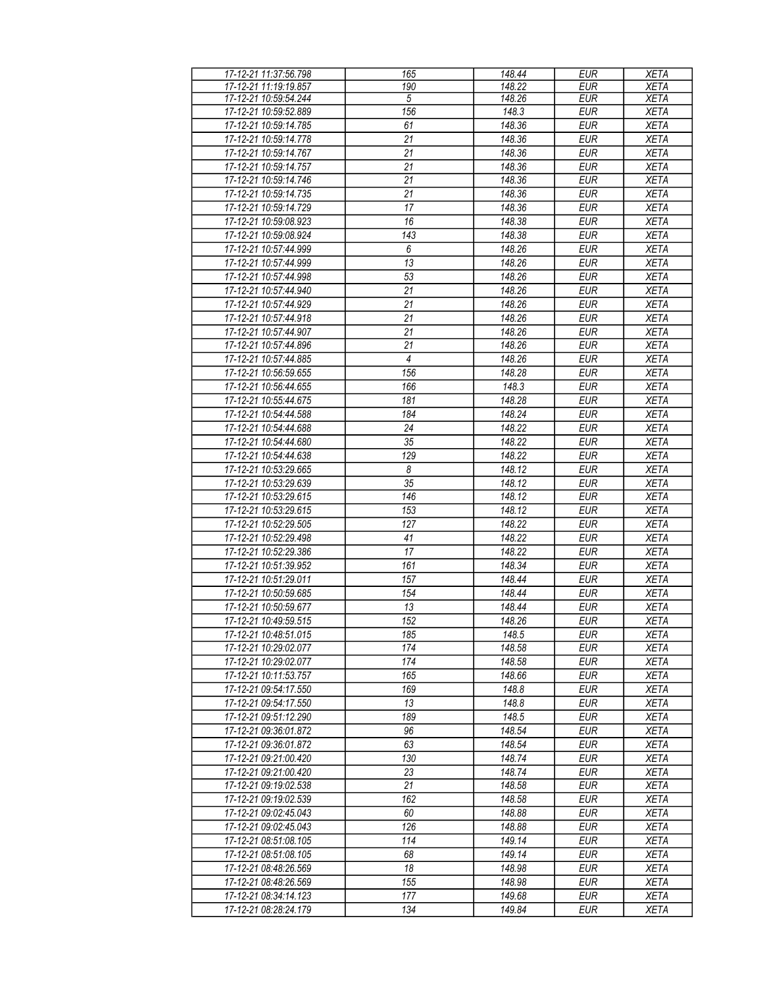| 17-12-21 11:37:56.798 | 165            | 148.44 | <b>EUR</b> | <b>XETA</b> |
|-----------------------|----------------|--------|------------|-------------|
| 17-12-21 11:19:19.857 | 190            | 148.22 | EUR        | <b>XETA</b> |
| 17-12-21 10:59:54.244 | $\sqrt{5}$     | 148.26 | <b>EUR</b> | <b>XETA</b> |
| 17-12-21 10:59:52.889 | 156            | 148.3  | <b>EUR</b> | <b>XETA</b> |
| 17-12-21 10:59:14.785 | 61             | 148.36 | <b>EUR</b> | <b>XETA</b> |
| 17-12-21 10:59:14.778 | 21             | 148.36 | <b>EUR</b> | <b>XETA</b> |
| 17-12-21 10:59:14.767 | 21             | 148.36 | <b>EUR</b> | <b>XETA</b> |
| 17-12-21 10:59:14.757 | 21             | 148.36 | <b>EUR</b> | <b>XETA</b> |
| 17-12-21 10:59:14.746 | 21             | 148.36 | <b>EUR</b> | <b>XETA</b> |
|                       |                |        |            |             |
| 17-12-21 10:59:14.735 | 21             | 148.36 | <b>EUR</b> | <b>XETA</b> |
| 17-12-21 10:59:14.729 | 17             | 148.36 | <b>EUR</b> | <b>XETA</b> |
| 17-12-21 10:59:08.923 | 16             | 148.38 | <b>EUR</b> | <b>XETA</b> |
| 17-12-21 10:59:08.924 | 143            | 148.38 | <b>EUR</b> | <b>XETA</b> |
| 17-12-21 10:57:44.999 | 6              | 148.26 | <b>EUR</b> | <b>XETA</b> |
| 17-12-21 10:57:44.999 | 13             | 148.26 | <b>EUR</b> | <b>XETA</b> |
| 17-12-21 10:57:44.998 | 53             | 148.26 | EUR        | <b>XETA</b> |
| 17-12-21 10:57:44.940 | 21             | 148.26 | <b>EUR</b> | <b>XETA</b> |
| 17-12-21 10:57:44.929 | 21             | 148.26 | <b>EUR</b> | <b>XETA</b> |
| 17-12-21 10:57:44.918 | 21             | 148.26 | <b>EUR</b> | <b>XETA</b> |
| 17-12-21 10:57:44.907 | 21             | 148.26 | <b>EUR</b> | <b>XETA</b> |
| 17-12-21 10:57:44.896 |                | 148.26 | <b>EUR</b> |             |
|                       | 21             |        |            | <b>XETA</b> |
| 17-12-21 10:57:44.885 | $\overline{4}$ | 148.26 | <b>EUR</b> | <b>XETA</b> |
| 17-12-21 10:56:59.655 | 156            | 148.28 | <b>EUR</b> | <b>XETA</b> |
| 17-12-21 10:56:44.655 | 166            | 148.3  | <b>EUR</b> | <b>XETA</b> |
| 17-12-21 10:55:44.675 | 181            | 148.28 | <b>EUR</b> | <b>XETA</b> |
| 17-12-21 10:54:44.588 | 184            | 148.24 | <b>EUR</b> | <b>XETA</b> |
| 17-12-21 10:54:44.688 | 24             | 148.22 | <b>EUR</b> | <b>XETA</b> |
| 17-12-21 10:54:44.680 | 35             | 148.22 | <b>EUR</b> | <b>XETA</b> |
| 17-12-21 10:54:44.638 | 129            | 148.22 | <b>EUR</b> | <b>XETA</b> |
| 17-12-21 10:53:29.665 | $\overline{8}$ | 148.12 | <b>EUR</b> | <b>XETA</b> |
| 17-12-21 10:53:29.639 | 35             | 148.12 | <b>EUR</b> | <b>XETA</b> |
| 17-12-21 10:53:29.615 | 146            | 148.12 | <b>EUR</b> | <b>XETA</b> |
| 17-12-21 10:53:29.615 | 153            | 148.12 | <b>EUR</b> | <b>XETA</b> |
| 17-12-21 10:52:29.505 | 127            | 148.22 | <b>EUR</b> | <b>XETA</b> |
|                       |                |        |            |             |
| 17-12-21 10:52:29.498 | 41             | 148.22 | <b>EUR</b> | <b>XETA</b> |
| 17-12-21 10:52:29.386 | 17             | 148.22 | <b>EUR</b> | <b>XETA</b> |
| 17-12-21 10:51:39.952 | 161            | 148.34 | <b>EUR</b> | <b>XETA</b> |
| 17-12-21 10:51:29.011 | 157            | 148.44 | <b>EUR</b> | <b>XETA</b> |
| 17-12-21 10:50:59.685 | 154            | 148.44 | <b>EUR</b> | <b>XETA</b> |
| 17-12-21 10:50:59.677 | 13             | 148.44 | <b>EUR</b> | <b>XETA</b> |
| 17-12-21 10:49:59.515 | 152            | 148.26 | <b>EUR</b> | <b>XETA</b> |
| 17-12-21 10:48:51.015 | 185            | 148.5  | <b>EUR</b> | <b>XETA</b> |
| 17-12-21 10:29:02.077 | 174            | 148.58 | EUR        | <b>XETA</b> |
| 17-12-21 10:29:02.077 | 174            | 148.58 | <b>EUR</b> | <b>XETA</b> |
| 17-12-21 10:11:53.757 | 165            | 148.66 | <b>EUR</b> | <b>XETA</b> |
| 17-12-21 09:54:17.550 | 169            | 148.8  | <b>EUR</b> | <b>XETA</b> |
| 17-12-21 09:54:17.550 | 13             | 148.8  | <b>EUR</b> | <b>XETA</b> |
|                       | 189            |        |            |             |
| 17-12-21 09:51:12.290 |                | 148.5  | <b>EUR</b> | <b>XETA</b> |
| 17-12-21 09:36:01.872 | 96             | 148.54 | <b>EUR</b> | <b>XETA</b> |
| 17-12-21 09:36:01.872 | 63             | 148.54 | <b>EUR</b> | <b>XETA</b> |
| 17-12-21 09:21:00.420 | 130            | 148.74 | <b>EUR</b> | <b>XETA</b> |
| 17-12-21 09:21:00.420 | 23             | 148.74 | <b>EUR</b> | <b>XETA</b> |
| 17-12-21 09:19:02.538 | 21             | 148.58 | <b>EUR</b> | <b>XETA</b> |
| 17-12-21 09:19:02.539 | 162            | 148.58 | <b>EUR</b> | <b>XETA</b> |
| 17-12-21 09:02:45.043 | 60             | 148.88 | <b>EUR</b> | <b>XETA</b> |
| 17-12-21 09:02:45.043 | 126            | 148.88 | <b>EUR</b> | <b>XETA</b> |
| 17-12-21 08:51:08.105 | 114            | 149.14 | <b>EUR</b> | <b>XETA</b> |
| 17-12-21 08:51:08.105 | 68             | 149.14 | <b>EUR</b> | <b>XETA</b> |
| 17-12-21 08:48:26.569 | 18             | 148.98 | <b>EUR</b> | <b>XETA</b> |
|                       |                |        |            |             |
| 17-12-21 08:48:26.569 | 155            | 148.98 | <b>EUR</b> | <b>XETA</b> |
| 17-12-21 08:34:14.123 | 177            | 149.68 | <b>EUR</b> | <b>XETA</b> |
| 17-12-21 08:28:24.179 | 134            | 149.84 | <b>EUR</b> | <b>XETA</b> |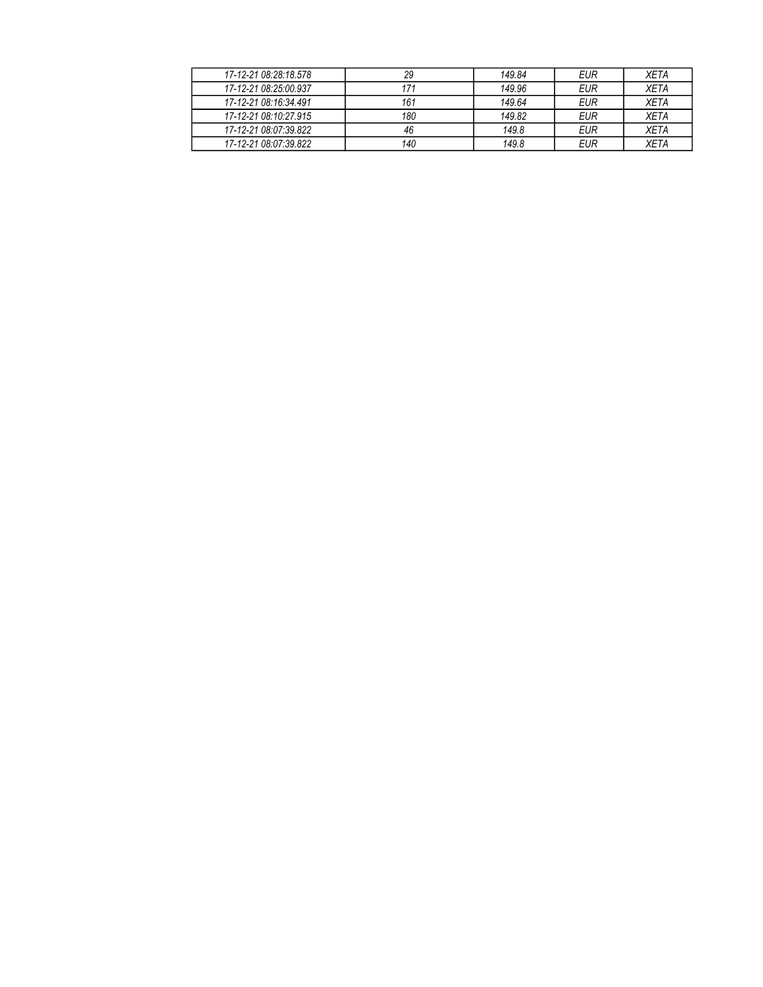| 17-12-21 08:28:18.578 | 29  | 149.84 | EUR        | <b>XETA</b> |
|-----------------------|-----|--------|------------|-------------|
| 17-12-21 08:25:00.937 | 171 | 149.96 | EUR        | <b>XETA</b> |
| 17-12-21 08:16:34 491 | 161 | 149.64 | EUR        | <b>XETA</b> |
| 17-12-21 08:10:27.915 | 180 | 149.82 | <b>EUR</b> | <b>XETA</b> |
| 17-12-21 08:07:39.822 | 46  | 149.8  | <b>EUR</b> | <b>XETA</b> |
| 17-12-21 08:07:39.822 | 140 | 149.8  | <b>EUR</b> | <b>XFTA</b> |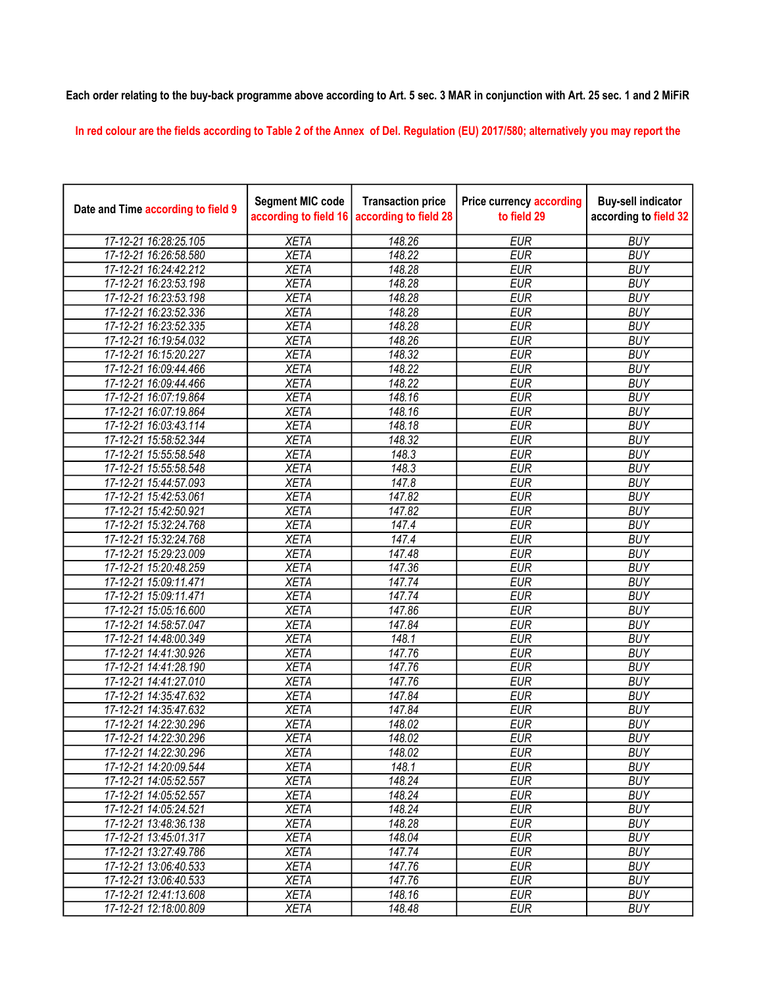Each order relating to the buy-back programme above according to Art. 5 sec. 3 MAR in conjunction with Art. 25 sec. 1 and 2 MiFiR

In red colour are the fields according to Table 2 of the Annex of Del. Regulation (EU) 2017/580; alternatively you may report the

| Date and Time according to field 9 | <b>Segment MIC code</b><br>according to field 16 | <b>Transaction price</b><br>according to field 28 | <b>Price currency according</b><br>to field 29 | <b>Buy-sell indicator</b><br>according to field 32 |
|------------------------------------|--------------------------------------------------|---------------------------------------------------|------------------------------------------------|----------------------------------------------------|
| 17-12-21 16:28:25.105              | <b>XETA</b>                                      | 148.26                                            | <b>EUR</b>                                     | <b>BUY</b>                                         |
| 17-12-21 16:26:58.580              | <b>XETA</b>                                      | 148.22                                            | <b>EUR</b>                                     | <b>BUY</b>                                         |
| 17-12-21 16:24:42.212              | <b>XETA</b>                                      | 148.28                                            | <b>EUR</b>                                     | <b>BUY</b>                                         |
| 17-12-21 16:23:53.198              | <b>XETA</b>                                      | 148.28                                            | <b>EUR</b>                                     | <b>BUY</b>                                         |
| 17-12-21 16:23:53.198              | <b>XETA</b>                                      | 148.28                                            | <b>EUR</b>                                     | <b>BUY</b>                                         |
| 17-12-21 16:23:52.336              | <b>XETA</b>                                      | 148.28                                            | <b>EUR</b>                                     | <b>BUY</b>                                         |
| 17-12-21 16:23:52.335              | <b>XETA</b>                                      | 148.28                                            | <b>EUR</b>                                     | <b>BUY</b>                                         |
| 17-12-21 16:19:54.032              | <b>XETA</b>                                      | 148.26                                            | <b>EUR</b>                                     | <b>BUY</b>                                         |
| 17-12-21 16:15:20.227              | <b>XETA</b>                                      | 148.32                                            | <b>EUR</b>                                     | <b>BUY</b>                                         |
| 17-12-21 16:09:44.466              | <b>XETA</b>                                      | 148.22                                            | <b>EUR</b>                                     | <b>BUY</b>                                         |
| 17-12-21 16:09:44.466              | <b>XETA</b>                                      | 148.22                                            | <b>EUR</b>                                     | <b>BUY</b>                                         |
| 17-12-21 16:07:19.864              | <b>XETA</b>                                      | 148.16                                            | <b>EUR</b>                                     | <b>BUY</b>                                         |
| 17-12-21 16:07:19.864              | <b>XETA</b>                                      | 148.16                                            | <b>EUR</b>                                     | <b>BUY</b>                                         |
| 17-12-21 16:03:43.114              | <b>XETA</b>                                      | 148.18                                            | <b>EUR</b>                                     | <b>BUY</b>                                         |
| 17-12-21 15:58:52.344              | <b>XETA</b>                                      | 148.32                                            | <b>EUR</b>                                     | <b>BUY</b>                                         |
| 17-12-21 15:55:58.548              | <b>XETA</b>                                      | 148.3                                             | <b>EUR</b>                                     | <b>BUY</b>                                         |
| 17-12-21 15:55:58.548              | <b>XETA</b>                                      | 148.3                                             | <b>EUR</b>                                     | <b>BUY</b>                                         |
| 17-12-21 15:44:57.093              | <b>XETA</b>                                      | 147.8                                             | <b>EUR</b>                                     | <b>BUY</b>                                         |
| 17-12-21 15:42:53.061              | <b>XETA</b>                                      | 147.82                                            | <b>EUR</b>                                     | <b>BUY</b>                                         |
| 17-12-21 15:42:50.921              | <b>XETA</b>                                      | 147.82                                            | <b>EUR</b>                                     | <b>BUY</b>                                         |
| 17-12-21 15:32:24.768              | <b>XETA</b>                                      | 147.4                                             | <b>EUR</b>                                     | <b>BUY</b>                                         |
| 17-12-21 15:32:24.768              | <b>XETA</b>                                      | 147.4                                             | <b>EUR</b>                                     | <b>BUY</b>                                         |
| 17-12-21 15:29:23.009              | <b>XETA</b>                                      | 147.48                                            | <b>EUR</b>                                     | <b>BUY</b>                                         |
| 17-12-21 15:20:48.259              | <b>XETA</b>                                      | 147.36                                            | <b>EUR</b>                                     | <b>BUY</b>                                         |
| 17-12-21 15:09:11.471              | <b>XETA</b>                                      | 147.74                                            | <b>EUR</b>                                     | <b>BUY</b>                                         |
| 17-12-21 15:09:11.471              | <b>XETA</b>                                      | 147.74                                            | <b>EUR</b>                                     | <b>BUY</b>                                         |
| 17-12-21 15:05:16.600              | <b>XETA</b>                                      | 147.86                                            | <b>EUR</b>                                     | <b>BUY</b>                                         |
| 17-12-21 14:58:57.047              | <b>XETA</b>                                      | 147.84                                            | <b>EUR</b>                                     | <b>BUY</b>                                         |
| 17-12-21 14:48:00.349              | <b>XETA</b>                                      | 148.1                                             | <b>EUR</b>                                     | <b>BUY</b>                                         |
| 17-12-21 14:41:30.926              | <b>XETA</b>                                      | 147.76                                            | <b>EUR</b>                                     | <b>BUY</b>                                         |
| 17-12-21 14:41:28.190              | <b>XETA</b>                                      | 147.76                                            | <b>EUR</b>                                     | <b>BUY</b>                                         |
| 17-12-21 14:41:27.010              | <b>XETA</b>                                      | 147.76                                            | <b>EUR</b>                                     | <b>BUY</b>                                         |
| 17-12-21 14:35:47.632              | <b>XETA</b>                                      | 147.84                                            | <b>EUR</b>                                     | <b>BUY</b>                                         |
| 17-12-21 14:35:47.632              | <b>XETA</b>                                      | 147.84                                            | <b>EUR</b>                                     | <b>BUY</b>                                         |
| 17-12-21 14:22:30.296              | <b>XETA</b>                                      | 148.02                                            | <b>EUR</b>                                     | <b>BUY</b>                                         |
| 17-12-21 14:22:30.296              | <b>XETA</b>                                      | 148.02                                            | <b>EUR</b>                                     | <b>BUY</b>                                         |
| 17-12-21 14:22:30.296              | <b>XETA</b>                                      | 148.02                                            | <b>EUR</b>                                     | <b>BUY</b>                                         |
| 17-12-21 14:20:09.544              | <b>XETA</b>                                      | 148.1                                             | <b>EUR</b>                                     | <b>BUY</b>                                         |
| 17-12-21 14:05:52.557              | <b>XETA</b>                                      | 148.24                                            | <b>EUR</b>                                     | <b>BUY</b>                                         |
| 17-12-21 14:05:52.557              | <b>XETA</b>                                      | 148.24                                            | <b>EUR</b>                                     | <b>BUY</b>                                         |
| 17-12-21 14:05:24.521              | <b>XETA</b>                                      | 148.24                                            | <b>EUR</b>                                     | <b>BUY</b>                                         |
| 17-12-21 13:48:36.138              | <b>XETA</b>                                      | 148.28                                            | <b>EUR</b>                                     | <b>BUY</b>                                         |
| 17-12-21 13:45:01.317              | <b>XETA</b>                                      | 148.04                                            | <b>EUR</b>                                     | <b>BUY</b>                                         |
| 17-12-21 13:27:49.786              | <b>XETA</b>                                      | 147.74                                            | <b>EUR</b>                                     | <b>BUY</b>                                         |
| 17-12-21 13:06:40.533              | <b>XETA</b>                                      | $\frac{1}{147.76}$                                | <b>EUR</b>                                     | <b>BUY</b>                                         |
| 17-12-21 13:06:40.533              | <b>XETA</b>                                      | 147.76                                            | <b>EUR</b>                                     | <b>BUY</b>                                         |
| 17-12-21 12:41:13.608              | <b>XETA</b>                                      | 148.16                                            | <b>EUR</b>                                     | <b>BUY</b>                                         |
| 17-12-21 12:18:00.809              | <b>XETA</b>                                      | 148.48                                            | <b>EUR</b>                                     | <b>BUY</b>                                         |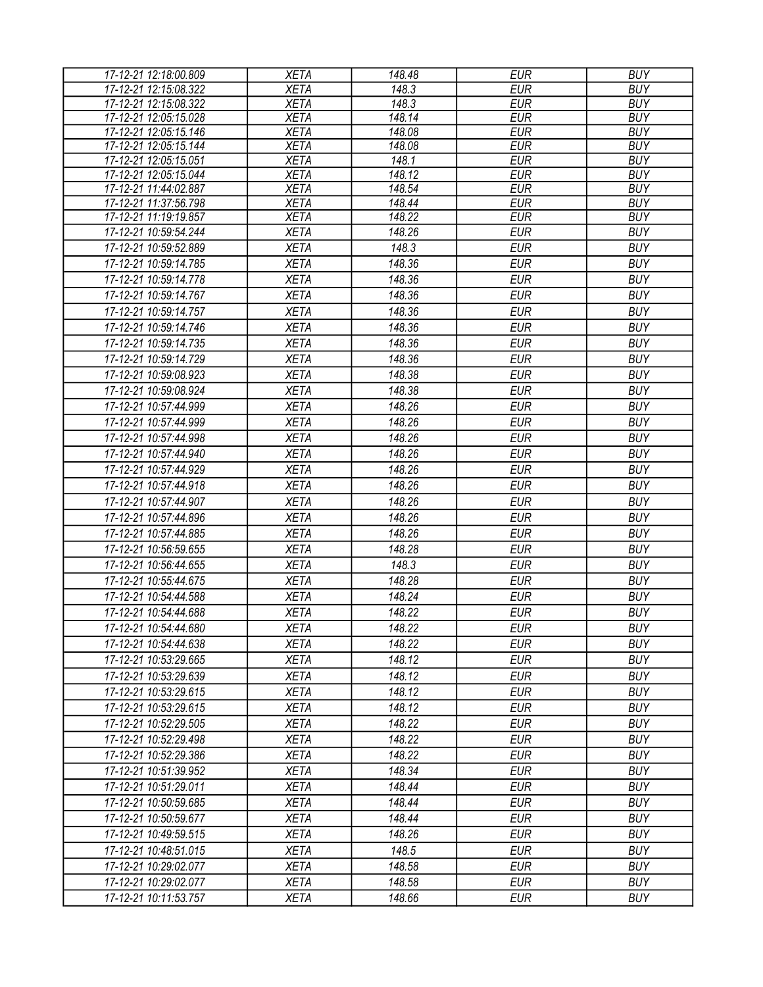| 17-12-21 12:18:00.809 | <b>XETA</b> | 148.48 | <b>EUR</b> | <b>BUY</b> |
|-----------------------|-------------|--------|------------|------------|
| 17-12-21 12:15:08.322 | <b>XETA</b> | 148.3  | <b>EUR</b> | <b>BUY</b> |
| 17-12-21 12:15:08.322 | <b>XETA</b> | 148.3  | <b>EUR</b> | <b>BUY</b> |
| 17-12-21 12:05:15.028 | <b>XETA</b> | 148.14 | <b>EUR</b> | <b>BUY</b> |
| 17-12-21 12:05:15.146 | <b>XETA</b> | 148.08 | <b>EUR</b> | <b>BUY</b> |
| 17-12-21 12:05:15.144 | <b>XETA</b> | 148.08 | <b>EUR</b> | <b>BUY</b> |
| 17-12-21 12:05:15.051 | <b>XETA</b> | 148.1  | <b>EUR</b> | <b>BUY</b> |
| 17-12-21 12:05:15.044 | <b>XETA</b> | 148.12 | <b>EUR</b> | <b>BUY</b> |
| 17-12-21 11:44:02.887 | <b>XETA</b> | 148.54 | <b>EUR</b> | <b>BUY</b> |
| 17-12-21 11:37:56.798 | <b>XETA</b> | 148.44 | <b>EUR</b> | <b>BUY</b> |
| 17-12-21 11:19:19.857 | <b>XETA</b> | 148.22 | <b>EUR</b> | <b>BUY</b> |
| 17-12-21 10:59:54.244 | <b>XETA</b> | 148.26 | <b>EUR</b> | <b>BUY</b> |
| 17-12-21 10:59:52.889 | <b>XETA</b> | 148.3  | <b>EUR</b> | <b>BUY</b> |
| 17-12-21 10:59:14.785 | <b>XETA</b> | 148.36 | <b>EUR</b> | <b>BUY</b> |
| 17-12-21 10:59:14.778 | <b>XETA</b> | 148.36 | <b>EUR</b> | <b>BUY</b> |
| 17-12-21 10:59:14.767 | <b>XETA</b> | 148.36 | <b>EUR</b> | <b>BUY</b> |
| 17-12-21 10:59:14.757 | <b>XETA</b> | 148.36 | <b>EUR</b> | <b>BUY</b> |
| 17-12-21 10:59:14.746 | <b>XETA</b> | 148.36 | <b>EUR</b> | <b>BUY</b> |
| 17-12-21 10:59:14.735 | <b>XETA</b> | 148.36 | <b>EUR</b> | <b>BUY</b> |
| 17-12-21 10:59:14.729 | <b>XETA</b> | 148.36 | <b>EUR</b> | <b>BUY</b> |
| 17-12-21 10:59:08.923 | <b>XETA</b> | 148.38 | <b>EUR</b> | <b>BUY</b> |
| 17-12-21 10:59:08.924 | <b>XETA</b> | 148.38 | <b>EUR</b> | <b>BUY</b> |
| 17-12-21 10:57:44.999 | <b>XETA</b> | 148.26 | <b>EUR</b> | <b>BUY</b> |
| 17-12-21 10:57:44.999 | <b>XETA</b> | 148.26 | <b>EUR</b> | <b>BUY</b> |
| 17-12-21 10:57:44.998 |             | 148.26 | <b>EUR</b> | <b>BUY</b> |
|                       | <b>XETA</b> |        |            |            |
| 17-12-21 10:57:44.940 | <b>XETA</b> | 148.26 | <b>EUR</b> | <b>BUY</b> |
| 17-12-21 10:57:44.929 | <b>XETA</b> | 148.26 | <b>EUR</b> | <b>BUY</b> |
| 17-12-21 10:57:44.918 | <b>XETA</b> | 148.26 | <b>EUR</b> | <b>BUY</b> |
| 17-12-21 10:57:44.907 | <b>XETA</b> | 148.26 | <b>EUR</b> | <b>BUY</b> |
| 17-12-21 10:57:44.896 | <b>XETA</b> | 148.26 | <b>EUR</b> | <b>BUY</b> |
| 17-12-21 10:57:44.885 | <b>XETA</b> | 148.26 | <b>EUR</b> | <b>BUY</b> |
| 17-12-21 10:56:59.655 | <b>XETA</b> | 148.28 | <b>EUR</b> | <b>BUY</b> |
| 17-12-21 10:56:44.655 | <b>XETA</b> | 148.3  | <b>EUR</b> | <b>BUY</b> |
| 17-12-21 10:55:44.675 | <b>XETA</b> | 148.28 | <b>EUR</b> | <b>BUY</b> |
| 17-12-21 10:54:44.588 | <b>XETA</b> | 148.24 | <b>EUR</b> | <b>BUY</b> |
| 17-12-21 10:54:44.688 | <b>XETA</b> | 148.22 | <b>EUR</b> | <b>BUY</b> |
| 17-12-21 10:54:44.680 | <b>XETA</b> | 148.22 | <b>EUR</b> | <b>BUY</b> |
| 17-12-21 10:54:44.638 | <b>XETA</b> | 148.22 | <b>EUR</b> | <b>BUY</b> |
| 17-12-21 10:53:29.665 | <b>XETA</b> | 148.12 | <b>EUR</b> | <b>BUY</b> |
| 17-12-21 10:53:29.639 | <b>XETA</b> | 148.12 | <b>EUR</b> | <b>BUY</b> |
| 17-12-21 10:53:29.615 | <b>XETA</b> | 148.12 | <b>EUR</b> | <b>BUY</b> |
|                       |             | 148.12 | <b>EUR</b> | <b>BUY</b> |
| 17-12-21 10:53:29.615 | <b>XETA</b> |        |            |            |
| 17-12-21 10:52:29.505 | <b>XETA</b> | 148.22 | <b>EUR</b> | <b>BUY</b> |
| 17-12-21 10:52:29.498 | <b>XETA</b> | 148.22 | <b>EUR</b> | <b>BUY</b> |
| 17-12-21 10:52:29.386 | <b>XETA</b> | 148.22 | <b>EUR</b> | <b>BUY</b> |
| 17-12-21 10:51:39.952 | <b>XETA</b> | 148.34 | <b>EUR</b> | <b>BUY</b> |
| 17-12-21 10:51:29.011 | <b>XETA</b> | 148.44 | <b>EUR</b> | <b>BUY</b> |
| 17-12-21 10:50:59.685 | <b>XETA</b> | 148.44 | <b>EUR</b> | <b>BUY</b> |
| 17-12-21 10:50:59.677 | <b>XETA</b> | 148.44 | <b>EUR</b> | <b>BUY</b> |
| 17-12-21 10:49:59.515 | <b>XETA</b> | 148.26 | <b>EUR</b> | <b>BUY</b> |
| 17-12-21 10:48:51.015 | <b>XETA</b> | 148.5  | <b>EUR</b> | <b>BUY</b> |
| 17-12-21 10:29:02.077 | <b>XETA</b> | 148.58 | <b>EUR</b> | <b>BUY</b> |
| 17-12-21 10:29:02.077 | <b>XETA</b> | 148.58 | <b>EUR</b> | <b>BUY</b> |
| 17-12-21 10:11:53.757 | <b>XETA</b> | 148.66 | <b>EUR</b> | <b>BUY</b> |
|                       |             |        |            |            |